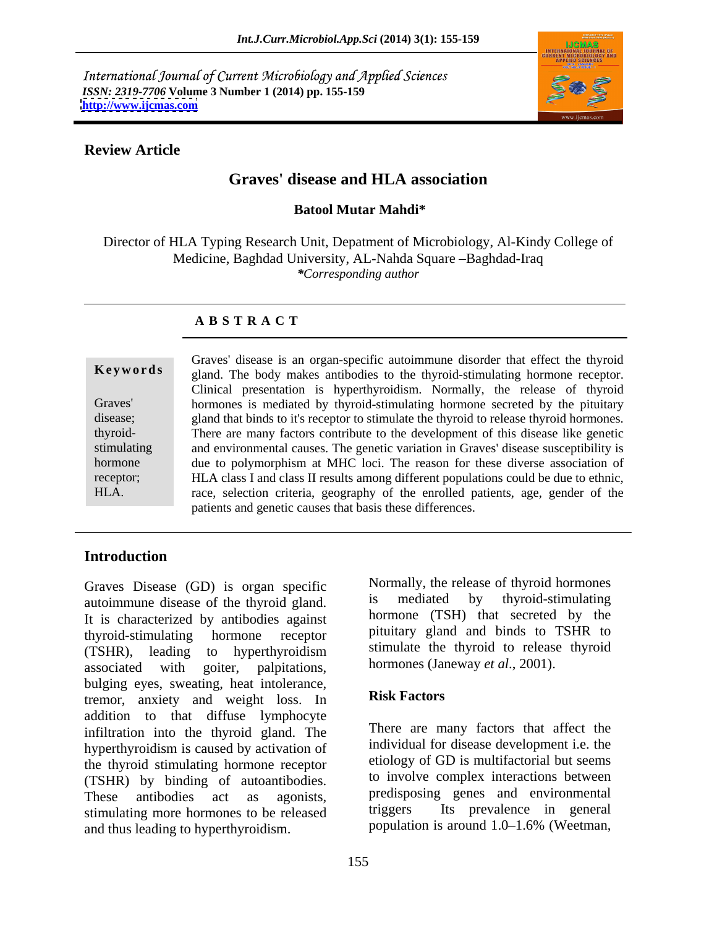International Journal of Current Microbiology and Applied Sciences *ISSN: 2319-7706* **Volume 3 Number 1 (2014) pp. 155-159 <http://www.ijcmas.com>**



# **Review Article**

# **Graves' disease and HLA association**

# **Batool Mutar Mahdi\***

Director of HLA Typing Research Unit, Depatment of Microbiology, Al-Kindy College of Medicine, Baghdad University, AL-Nahda Square - Baghdad-Iraq *\*Corresponding author*

### **A B S T R A C T**

**Keywords** gland. The body makes antibodies to the thyroid-stimulating hormone receptor. Graves' hormones is mediated by thyroid-stimulating hormone secreted by the pituitary disease; gland that binds to it's receptor to stimulate the thyroid to release thyroid hormones. thyroid- There are many factors contribute to the development of this disease like genetic stimulating and environmental causes. The genetic variation in Graves' disease susceptibility is hormone due to polymorphism at MHC loci. The reason for these diverse association of receptor; HLA class I and class II results among different populations could be due to ethnic, HLA. race, selection criteria, geography of the enrolled patients, age, gender of the Graves' disease is an organ-specific autoimmune disorder that effect the thyroid Clinical presentation is hyperthyroidism. Normally, the release of thyroid patients and genetic causes that basis these differences.

# **Introduction**

Graves Disease (GD) is organ specific Mormally, the release of thyroid hormones<br>autoimmune disease of the thyroid gland is mediated by thyroid-stimulating autoimmune disease of the thyroid gland. It is characterized by antibodies against thyroid-stimulating hormone receptor pituitary gland and binds to TSHR to (TSHR), leading to hyperthyroidism associated with goiter, palpitations, bulging eyes, sweating, heat intolerance,<br>tramer anxiety and weight loss. In Risk Factors tremor, anxiety and weight loss. In addition to that diffuse lymphocyte infiltration into the thyroid gland. The hyperthyroidism is caused by activation of the thyroid stimulating hormone receptor (TSHR) by binding of autoantibodies.<br>These antibodies act as agonists, predisposing genes and environmental stimulating more hormones to be released and thus leading to hyperthyroidism.

Normally, the release of thyroid hormones is mediated by thyroid-stimulating hormone (TSH) that secreted by the stimulate the thyroid to release thyroid hormones (Janeway *et al*., 2001).

### **Risk Factors**

There are many factors that affect the individual for disease development i.e. the etiology of GD is multifactorial but seems to involve complex interactions between predisposing genes and environmental Its prevalence in general population is around  $1.0-1.6%$  (Weetman,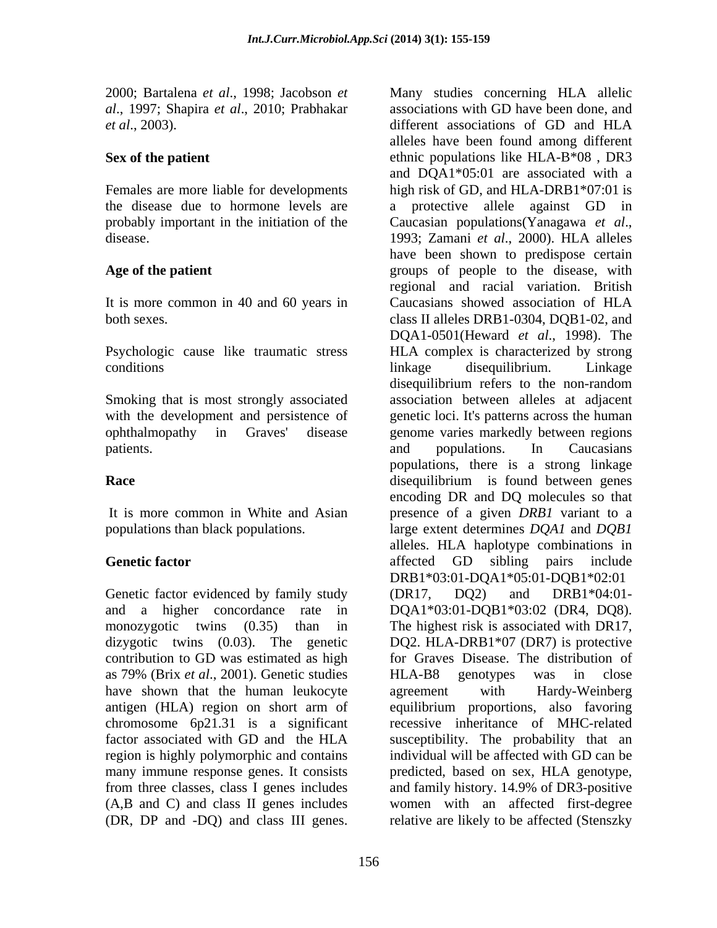2000; Bartalena *et al*., 1998; Jacobson *et al*., 1997; Shapira *et al*., 2010; Prabhakar

probably important in the initiation of the Caucasian populations (Yanagawa et al., disease. 1993; Zamani et al., 2000). HLA alleles

It is more common in 40 and 60 years in Caucasians showed association of HLA

Smoking that is most strongly associated

Genetic factor evidenced by family study (DR17, DQ2) and DRB1\*04:01dizygotic twins (0.03). The genetic as 79% (Brix *et al*., 2001). Genetic studies have shown that the human leukocyte agreement with Hardy-Weinberg from three classes, class I genes includes and family history, 14,9% of DR3-positive

*et al.*, 2003). *et al.*, 2003). *different associations of GD and HLA* Sex of the patient **EXECUTE:** ethnic populations like HLA-B\*08, DR3 Females are more liable for developments high risk of GD, and HLA-DRB1\*07:01 is the disease due to hormone levels are a protective allele against GD in Age of the patient **Age of the patient** extending the series of people to the disease, with both sexes. class II alleles DRB1-0304, DQB1-02, and Psychologic cause like traumatic stress HLA complex is characterized by strong conditions and the conditions of the conditions of the conditions of the conditions of the conditions of the conditions of the conditions of the conditions of the conditions of the conditions of the conditions of the condi with the development and persistence of genetic loci. It's patterns across the human ophthalmopathy in Graves' disease genome varies markedly between regions patients. The caucasians and populations. In Caucasians **Race Race disequilibrium** is found between genes It is more common in White and Asian presence of a given *DRB1* variant to a populations than black populations. large extent determines *DQA1* and *DQB1* **Genetic factor Genetic factor Genetic factor GE GE GE GE GE GE GEE GEE GEE** and a higher concordance rate in DQA1\*03:01-DQB1\*03:02 (DR4, DQ8). monozygotic twins (0.35) than in The highest risk is associated with DR17, contribution to GD was estimated as high for Graves Disease. The distribution of antigen (HLA) region on short arm of equilibrium proportions, also favoring chromosome 6p21.31 is a significant recessive inheritance of MHC-related factor associated with GD and the HLA susceptibility. The probability that an region is highly polymorphic and contains individual will be affected with GD can be many immune response genes. It consists predicted, based on sex, HLA genotype, (A,B and C) and class II genes includes women with an affected first-degree 2000, Barabena *oral.* 1998; Jacobson *oral.* Hange such an a secondary entangle and HLA allelics concerning HLA allelics are according to the particular critical different associations with GD have been found HLA allelic different associations of GD and HLA alleles have been found among different and DQA1\*05:01 are associated with a Caucasian populations(Yanagawa *et al.*, 1993; Zamani *et al.*, 2000). HLA alleles have been shown to predispose certain regional and racial variation. British Caucasians showed association of HLA DQA1-0501(Heward *et al*., 1998). The linkage disequilibrium. Linkage disequilibrium refers to the non-random association between alleles at adjacent and populations. In Caucasians populations, there is a strong linkage encoding DR and DQ molecules so that alleles. HLA haplotype combinations in affected GD sibling pairs include DRB1\*03:01-DQA1\*05:01-DQB1\*02:01 (DR17, DQ2) and DRB1\*04:01- DQ2. HLA-DRB1\*07 (DR7) is protective HLA-B8 genotypes was in close agreement with Hardy-Weinberg and family history. 14.9% of DR3-positive relative are likely to be affected (Stenszky

associations with GD have been done, and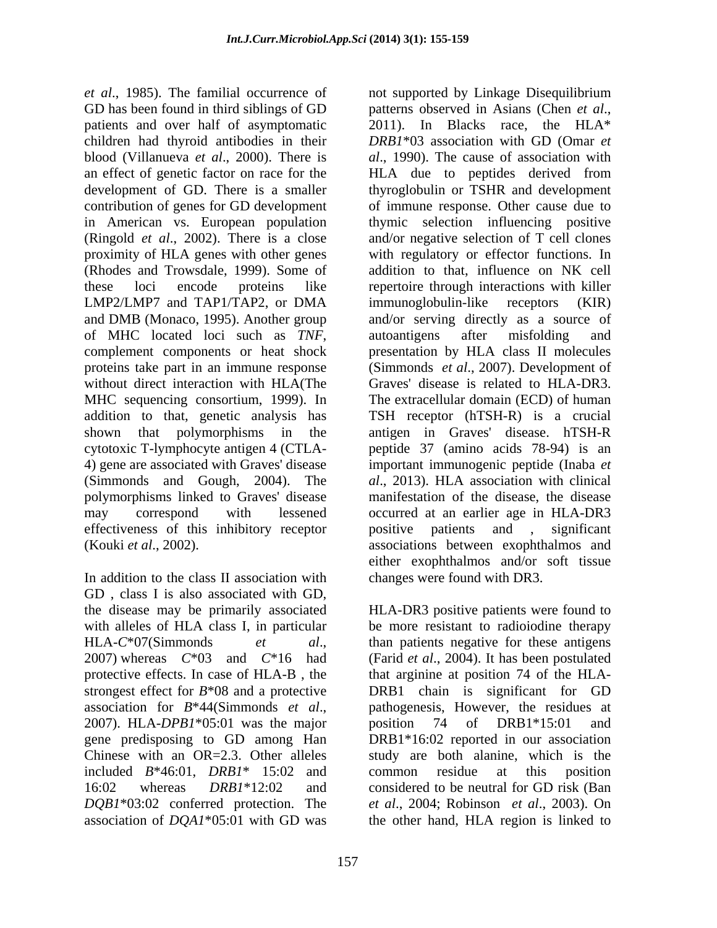GD has been found in third siblings of GD patterns observed in Asians (Chen et al., patients and over half of asymptomatic 2011). In Blacks race, the HLA\* children had thyroid antibodies in their *DRB1*\*03 association with GD (Omar *et*  blood (Villanueva *et al.*, 2000). There is al., 1990). The cause of association with an effect of genetic factor on race for the HLA due to peptides derived from development of GD. There is a smaller thyroglobulin or TSHR and development contribution of genes for GD development of immune response. Other cause due to in American vs. European population thymic selection influencing positive (Ringold *et al*., 2002). There is a close and/or negative selection of T cell clones proximity of HLA genes with other genes with regulatory or effector functions. In (Rhodes and Trowsdale, 1999). Some of addition to that, influence on NK cell these loci encode proteins like repertoire through interactions with killer LMP2/LMP7 and TAP1/TAP2, or DMA immunoglobulin-like receptors (KIR) and DMB (Monaco, 1995). Another group of MHC located loci such as *TNF*, autoantigens after misfolding and complement components or heat shock presentation by HLA class II molecules proteins take part in an immune response (Simmonds *et al*., 2007). Development of without direct interaction with HLA(The MHC sequencing consortium, 1999). In addition to that, genetic analysis has TSH receptor (hTSH-R) is a crucial shown that polymorphisms in the antigen in Graves' disease. hTSH-R cytotoxic T-lymphocyte antigen 4 (CTLA- peptide37 (amino acids 78-94) is an 4) gene are associated with Graves' disease important immunogenic peptide (Inaba *et*  (Simmonds and Gough, 2004). The *al*., 2013). HLA association with clinical polymorphisms linked to Graves' disease may correspond with lessened occurred at an earlier age in HLA-DR3 effectiveness of this inhibitory receptor positive patients and , significant

In addition to the class II association with GD , class I is also associated with GD, the disease may be primarily associated with alleles of HLA class I, in particular be more resistant to radioiodine therapy HLA-*C*\*07(Simmonds *et al*., 2007) whereas *C*\*03 and *<sup>C</sup>*\*16 had protective effects. In case of HLA-B , the that arginine at position 74 of the HLA strongest effect for *B*\*08 and a protective DRB1 chain is significant for GD association for *B*\*44(Simmonds *et al.*, pathogenesis, However, the residues at 2007). HLA-*DPB1*\*05:01 was the major position 74 of DRB1\*15:01 and gene predisposing to GD among Han DRB1\*16:02 reported in our association Chinese with an OR=2.3. Other alleles study are both alanine, which is the included *B*\*46:01, *DRB1*\* 15:02 and 16:02 whereas *DRB1*\*12:02 and considered to be neutral for GD risk (Ban *DQB1*\*03:02 conferred protection. The *et al*., 2004; Robinson *et al*., 2003). On association of *DQA1*\*05:01 with GD was the other hand, HLA region is linked to

et al., 1985). The familial occurrence of not supported by Linkage Disequilibrium (Kouki *et al*., 2002). associations between exophthalmos and patterns observed in Asians (Chen *et al*., 2011). In Blacks race, the HLA\* immunoglobulin-like receptors (KIR) and/or serving directly as a source of autoantigens after misfolding and presentation by HLA class II molecules Graves' disease is related to HLA-DR3. The extracellular domain (ECD) of human manifestation of the disease, the disease either exophthalmos and/or soft tissue changes were found with DR3.

> HLA-DR3 positive patients were found to than patients negative for these antigens (Farid *et al*., 2004). It has been postulated pathogenesis, However, the residues at position 74 of DRB1\*15:01 and common residue at this position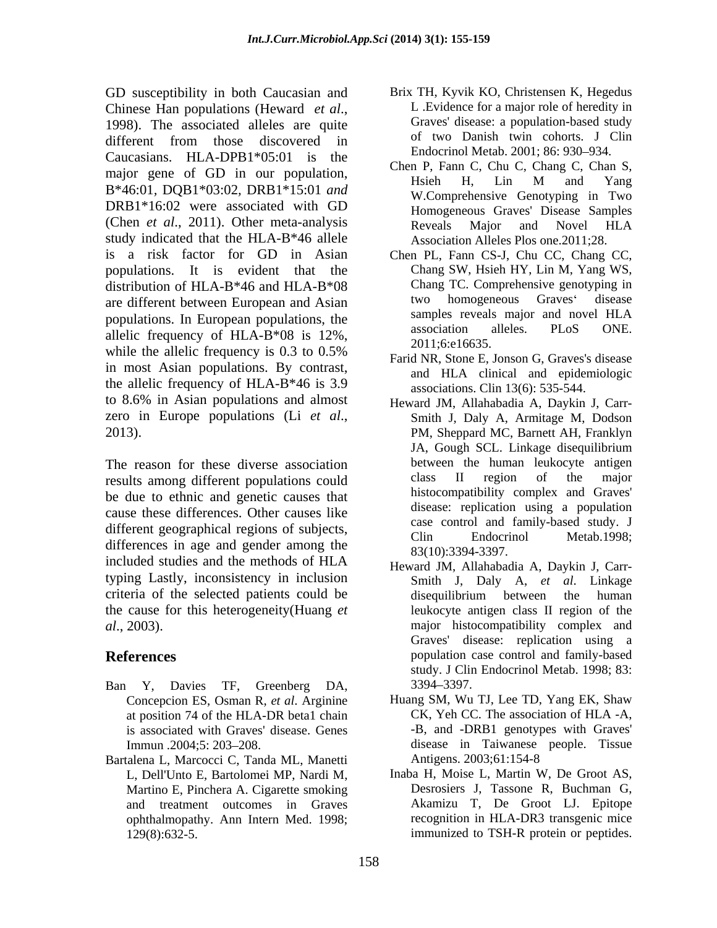GD susceptibility in both Caucasian and Chinese Han populations (Heward *et al.*, L. Evidence for a major role of heredity in 1998). The associated alleles are quite Graves' disease: a population-based study different from those discovered in  $\sigma$  and  $\sigma$  and  $\sigma$  and  $\sigma$  conducts. The conduction of two  $\sigma$  and  $\sigma$  and  $\sigma$  and  $\sigma$  and  $\sigma$  and  $\sigma$  and  $\sigma$  and  $\sigma$  and  $\sigma$  and  $\sigma$  and  $\sigma$  and  $\sigma$  and  $\sigma$  and  $\sigma$  Caucasians. HLA-DPB1\*05:01 is the major gene of GD in our population,<br>
Hsieh H, Lin M and Yang B\*46:01*,* DQB1\*03:02*,* DRB1\*15:01 *and* DRB1\*16:02 were associated with GD (Chen *et al*., 2011). Other meta-analysis study indicated that the HLA-B\*46 allele is a risk factor for GD in Asian populations. It is evident that the distribution of HLA-B\*46 and HLA-B\*08 Chang TC. Comprehensive general distribution of HLA-B\*46 and HLA-B\*08 Chang TC. Comprehensive general distribution of HLA-B\*46 and HLA-B\*08 Chang TC. Comprehensive general distribution are different between European and Asian two homogeneous Graves' disease<br>
nonveloped in European populations the samples reveals major and novel HLA populations. In European populations, the samples reveals major and novel HLA<br>clinical fraction alleles. PLoS ONE. allelic frequency of HLA-B\*08 is  $12\%$ ,  $2011:6:16635$ while the allelic frequency is 0.3 to 0.5% in most Asian populations. By contrast, the allelic frequency of HLA-B\*46 is 3.9 to 8.6% in Asian populations and almost

The reason for these diverse association<br>
The results among different populations could<br>
The region of the major results among different populations could be due to ethnic and genetic causes that cause these differences. Other causes like different geographical regions of subjects,<br>Clin Endocrinol Metab.1998; differences in age and gender among the included studies and the methods of HLA typing Lastly, inconsistency in inclusion criteria of the selected patients could be the cause for this heterogeneity(Huang *et* 

- Ban Y, Davies TF, Greenberg DA, is associated with Graves' disease. Genes
- Bartalena L, Marcocci C, Tanda ML, Manetti Antigens. 2003;61:154-8 and treatment outcomes in Graves
- Brix TH, Kyvik KO, Christensen K, Hegedus L .Evidence for a major role of heredity in Graves' disease: a population-based study of two Danish twin cohorts. J Clin Endocrinol Metab. 2001: 86: 930–934.
- Chen P, Fann C, Chu C, Chang C, Chan S, Hsieh H, Lin M and Yang W.Comprehensive Genotyping in Two Homogeneous Graves' Disease Samples Reveals Major and Novel HLA Association Alleles Plos one.2011;28.
- Chen PL, Fann CS-J, Chu CC, Chang CC, Chang SW, Hsieh HY, Lin M, Yang WS, Chang TC. Comprehensive genotyping in two homogeneous Graves' disease samples reveals major and novel HLA association alleles. PLoS ONE. 2011;6:e16635.
- Farid NR, Stone E, Jonson G, Graves's disease and HLA clinical and epidemiologic associations. Clin 13(6): 535-544.
- zero in Europe populations (Li *et al.*, 2013).<br>
2013). PM, Sheppard MC, Barnett AH, Franklyn Heward JM, Allahabadia A, Daykin J, Carr- Smith J, Daly A, Armitage M, Dodson PM, Sheppard MC, Barnett AH, Franklyn JA, Gough SCL. Linkage disequilibrium between the human leukocyte antigen class II region of the major histocompatibility complex and Graves' disease: replication using a population case control and family-based study. J Clin Endocrinol Metab.1998; 83(10):3394-3397.
- *al*., 2003). major histocompatibility complex and **References** population case control and family-based Heward JM, Allahabadia A, Daykin J, Carr- Smith J, Daly A, *et al*. Linkage disequilibrium between the human leukocyte antigen class II region of the Graves' disease: replication using a study. J Clin Endocrinol Metab. 1998; 83: 3394 3397.
	- Concepcion ES, Osman R, *et al*. Arginine Huang SM, Wu TJ, Lee TD, Yang EK, Shaw at position 74 of the HLA-DR beta1 chain CK, Yeh CC. The association of HLA-A, is associated with Graves' disease. Genes -B, and -DRB1 genotypes with Graves' Immun .2004;5: 203–208. Tissue disease in Taiwanese people. Tissue CK, Yeh CC. The association of HLA -A, -B, and -DRB1 genotypes with Graves' Antigens. 2003;61:154-8
	- L, Dell'Unto E, Bartolomei MP, Nardi M, Inaba H, Moise L, Martin W, De Groot AS, Martino E, Pinchera A. Cigarette smoking<br>
	and treatment outcomes in Graves<br>
	Akamizu T, De Groot LJ. Epitope ophthalmopathy. Ann Intern Med. 1998; recognition in HLA-DR3 transgenic mice 129(8):632-5. immunized to TSH-R protein or peptides.Inaba H, Moise L, Martin W, De Groot AS, Desrosiers J, Tassone R, Buchman G, Akamizu T, De Groot LJ. Epitope